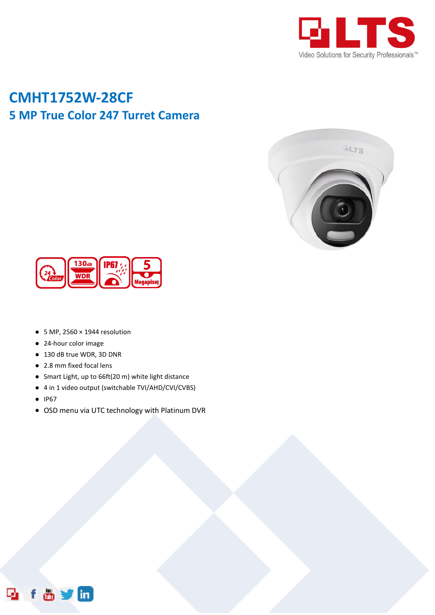

## **CMHT1752W-28CF 5 MP True Color 247 Turret Camera**





- $\bullet$  5 MP, 2560  $\times$  1944 resolution
- 24-hour color image
- 130 dB true WDR, 3D DNR
- 2.8 mm fixed focal lens
- Smart Light, up to 66ft(20 m) white light distance
- 4 in 1 video output (switchable TVI/AHD/CVI/CVBS)
- IP67
- OSD menu via UTC technology with Platinum DVR

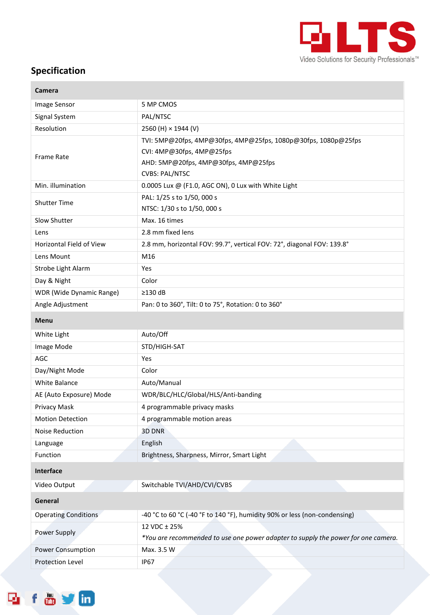

۰

## **Specification**

×

| <b>Camera</b>                   |                                                                                                                                                              |
|---------------------------------|--------------------------------------------------------------------------------------------------------------------------------------------------------------|
| Image Sensor                    | 5 MP CMOS                                                                                                                                                    |
| Signal System                   | PAL/NTSC                                                                                                                                                     |
| Resolution                      | 2560 (H) × 1944 (V)                                                                                                                                          |
| <b>Frame Rate</b>               | TVI: 5MP@20fps, 4MP@30fps, 4MP@25fps, 1080p@30fps, 1080p@25fps<br>CVI: 4MP@30fps, 4MP@25fps<br>AHD: 5MP@20fps, 4MP@30fps, 4MP@25fps<br><b>CVBS: PAL/NTSC</b> |
| Min. illumination               | 0.0005 Lux @ (F1.0, AGC ON), 0 Lux with White Light                                                                                                          |
| <b>Shutter Time</b>             | PAL: 1/25 s to 1/50, 000 s<br>NTSC: 1/30 s to 1/50, 000 s                                                                                                    |
| Slow Shutter                    | Max. 16 times                                                                                                                                                |
| Lens                            | 2.8 mm fixed lens                                                                                                                                            |
| <b>Horizontal Field of View</b> | 2.8 mm, horizontal FOV: 99.7°, vertical FOV: 72°, diagonal FOV: 139.8°                                                                                       |
| Lens Mount                      | M16                                                                                                                                                          |
| Strobe Light Alarm              | Yes                                                                                                                                                          |
| Day & Night                     | Color                                                                                                                                                        |
| WDR (Wide Dynamic Range)        | $\geq$ 130 dB                                                                                                                                                |
| Angle Adjustment                | Pan: 0 to 360°, Tilt: 0 to 75°, Rotation: 0 to 360°                                                                                                          |
| Menu                            |                                                                                                                                                              |
| White Light                     | Auto/Off                                                                                                                                                     |
| Image Mode                      | STD/HIGH-SAT                                                                                                                                                 |
| AGC                             | Yes                                                                                                                                                          |
| Day/Night Mode                  | Color                                                                                                                                                        |
| <b>White Balance</b>            | Auto/Manual                                                                                                                                                  |
| AE (Auto Exposure) Mode         | WDR/BLC/HLC/Global/HLS/Anti-banding                                                                                                                          |
| Privacy Mask                    | 4 programmable privacy masks                                                                                                                                 |
| <b>Motion Detection</b>         | 4 programmable motion areas                                                                                                                                  |
| Noise Reduction                 | 3D DNR                                                                                                                                                       |
| Language                        | English                                                                                                                                                      |
| Function                        | Brightness, Sharpness, Mirror, Smart Light                                                                                                                   |
| Interface                       |                                                                                                                                                              |
| Video Output                    | Switchable TVI/AHD/CVI/CVBS                                                                                                                                  |
| General                         |                                                                                                                                                              |
| <b>Operating Conditions</b>     | -40 °C to 60 °C (-40 °F to 140 °F), humidity 90% or less (non-condensing)                                                                                    |
| Power Supply                    | 12 VDC ± 25%<br>*You are recommended to use one power adapter to supply the power for one camera.                                                            |
| Power Consumption               | Max. 3.5 W                                                                                                                                                   |
| Protection Level                | <b>IP67</b>                                                                                                                                                  |
|                                 |                                                                                                                                                              |